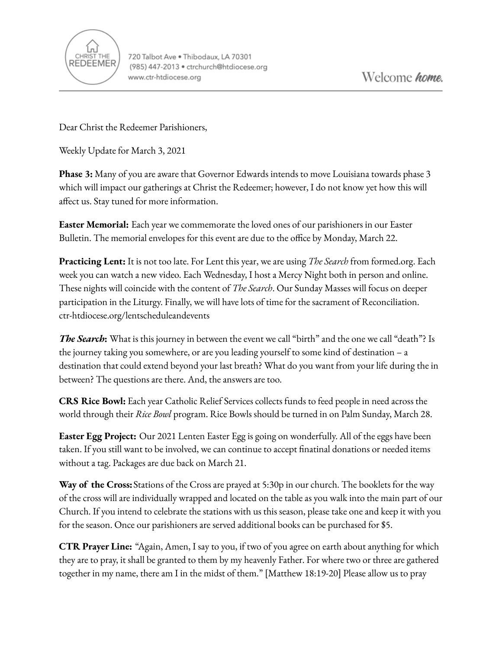

Dear Christ the Redeemer Parishioners,

Weekly Update for March 3, 2021

**Phase 3:** Many of you are aware that Governor Edwards intends to move Louisiana towards phase 3 which will impact our gatherings at Christ the Redeemer; however, I do not know yet how this will affect us. Stay tuned for more information.

**Easter Memorial:** Each year we commemorate the loved ones of our parishioners in our Easter Bulletin. The memorial envelopes for this event are due to the office by Monday, March 22.

**Practicing Lent:** It is not too late. For Lent this year, we are using *The Search* from formed.org. Each week you can watch a new video. Each Wednesday, I host a Mercy Night both in person and online. These nights will coincide with the content of *The Search*. Our Sunday Masses will focus on deeper participation in the Liturgy. Finally, we will have lots of time for the sacrament of Reconciliation. ctr-htdiocese.org/lentscheduleandevents

*The Search***:** What is this journey in between the event we call "birth" and the one we call "death"? Is the journey taking you somewhere, or are you leading yourself to some kind of destination – a destination that could extend beyond your last breath? What do you want from your life during the in between? The questions are there. And, the answers are too.

**CRS Rice Bowl:** Each year Catholic Relief Services collects funds to feed people in need across the world through their *Rice Bowl* program. Rice Bowls should be turned in on Palm Sunday, March 28.

**Easter Egg Project:** Our 2021 Lenten Easter Egg is going on wonderfully. All of the eggs have been taken. If you still want to be involved, we can continue to accept finatinal donations or needed items without a tag. Packages are due back on March 21.

**Way of the Cross:**Stations of the Cross are prayed at 5:30p in our church. The booklets for the way of the cross will are individually wrapped and located on the table as you walk into the main part of our Church. If you intend to celebrate the stations with us this season, please take one and keep it with you for the season. Once our parishioners are served additional books can be purchased for \$5.

**CTR Prayer Line:** "Again, Amen, I say to you, if two of you agree on earth about anything for which they are to pray, it shall be granted to them by my heavenly Father. For where two or three are gathered together in my name, there am I in the midst of them." [Matthew 18:19-20] Please allow us to pray